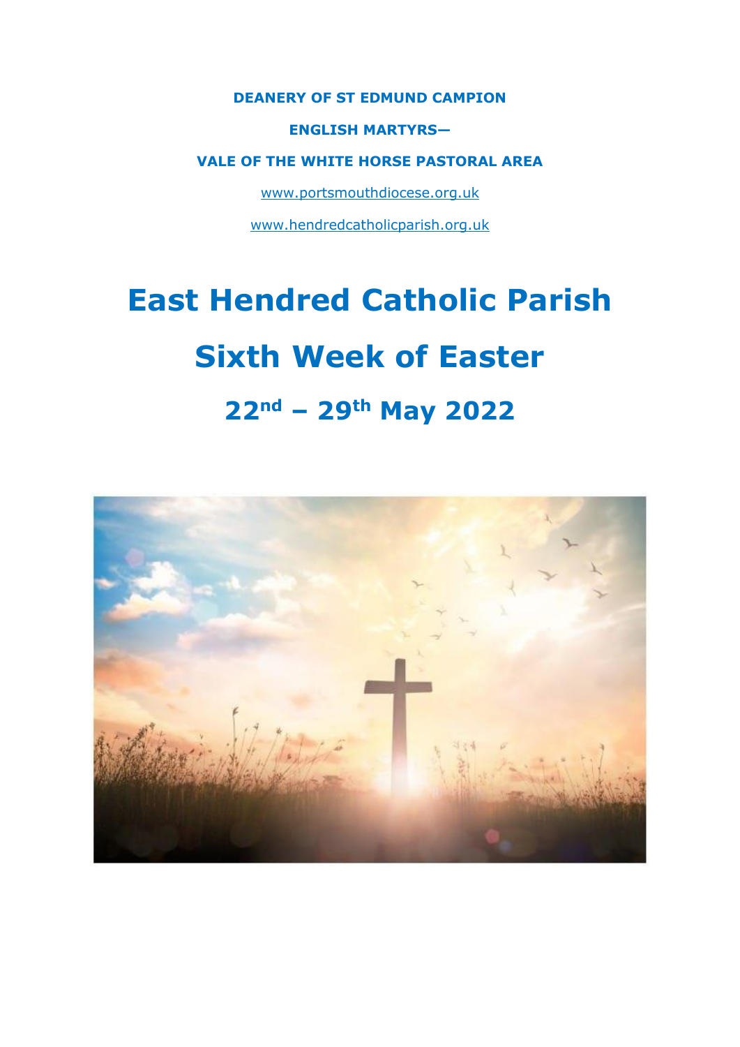### **DEANERY OF ST EDMUND CAMPION**

### **ENGLISH MARTYRS—**

### **VALE OF THE WHITE HORSE PASTORAL AREA**

www.portsmouthdiocese.org.uk

www.hendredcatholicparish.org.uk

# **East Hendred Catholic Parish**

# **Sixth Week of Easter**

# **22nd – 29th May 2022**

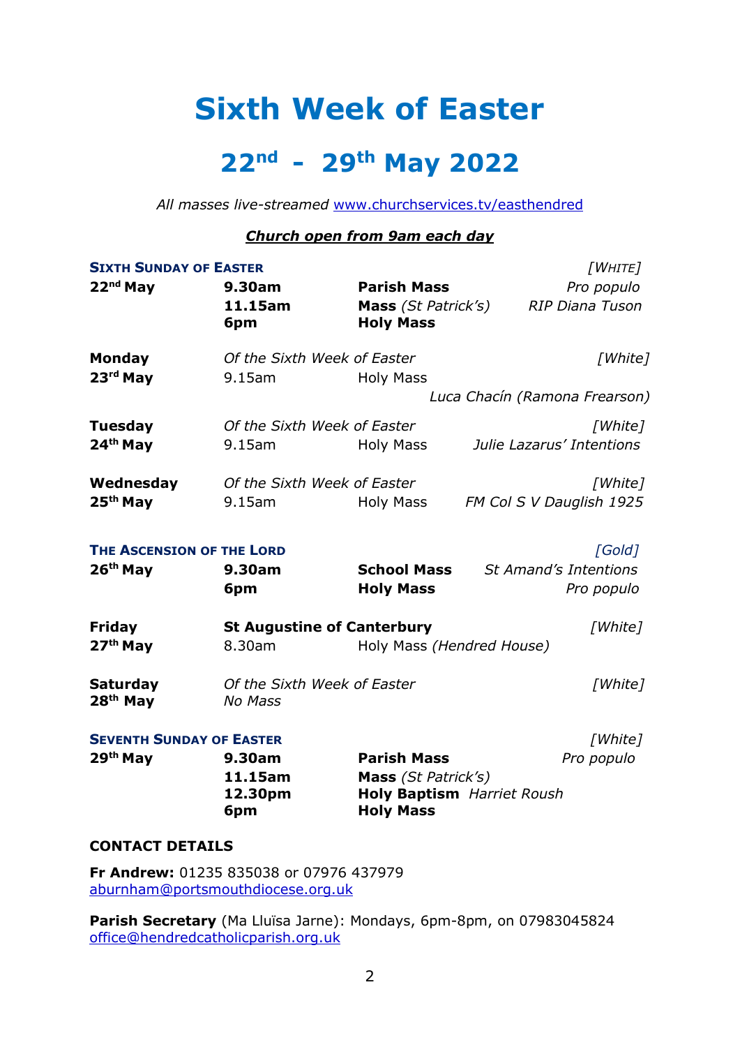# **Sixth Week of Easter**

# **22nd - 29th May 2022**

*All masses live-streamed* www.churchservices.tv/easthendred

### *Church open from 9am each day*

| <b>SIXTH SUNDAY OF EASTER</b>           |                                               |                                                       |                               | [WHITE]                |
|-----------------------------------------|-----------------------------------------------|-------------------------------------------------------|-------------------------------|------------------------|
| 22nd May                                | 9.30am                                        | <b>Parish Mass</b>                                    |                               | Pro populo             |
|                                         | 11.15am                                       | Mass (St Patrick's)                                   |                               | <b>RIP Diana Tuson</b> |
|                                         | 6pm                                           | <b>Holy Mass</b>                                      |                               |                        |
| <b>Monday</b>                           | Of the Sixth Week of Easter                   |                                                       |                               | [White]                |
| $23rd$ May                              | 9.15am                                        | <b>Holy Mass</b>                                      |                               |                        |
|                                         |                                               |                                                       | Luca Chacín (Ramona Frearson) |                        |
| <b>Tuesday</b>                          | Of the Sixth Week of Easter                   |                                                       |                               | [White]                |
| 24 <sup>th</sup> May                    | 9.15am                                        | Holy Mass                                             | Julie Lazarus' Intentions     |                        |
| Wednesday                               | Of the Sixth Week of Easter                   |                                                       |                               | [White]                |
| 25 <sup>th</sup> May                    | $9.15$ am                                     | <b>Holy Mass</b>                                      | FM Col S V Dauglish 1925      |                        |
| THE ASCENSION OF THE LORD               |                                               |                                                       |                               | [Gold]                 |
| 26 <sup>th</sup> May                    | 9.30am                                        | <b>School Mass</b>                                    | <b>St Amand's Intentions</b>  |                        |
|                                         | 6pm                                           | <b>Holy Mass</b>                                      |                               | Pro populo             |
| <b>Friday</b>                           | <b>St Augustine of Canterbury</b>             |                                                       |                               | [White]                |
| 27 <sup>th</sup> May                    | 8.30am                                        | Holy Mass (Hendred House)                             |                               |                        |
| <b>Saturday</b><br>28 <sup>th</sup> May | Of the Sixth Week of Easter<br><b>No Mass</b> |                                                       |                               | [White]                |
| <b>SEVENTH SUNDAY OF EASTER</b>         |                                               |                                                       |                               | [White]                |
| 29th May                                | 9.30am                                        | <b>Parish Mass</b>                                    |                               | Pro populo             |
|                                         | 11.15am                                       | Mass (St Patrick's)                                   |                               |                        |
|                                         | 12.30pm<br>6pm                                | <b>Holy Baptism</b> Harriet Roush<br><b>Holy Mass</b> |                               |                        |
| <b>CONTACT DETAILS</b>                  |                                               |                                                       |                               |                        |

**Fr Andrew:** 01235 835038 or 07976 437979 aburnham@portsmouthdiocese.org.uk

**Parish Secretary** (Ma Lluïsa Jarne): Mondays, 6pm-8pm, on 07983045824 office@hendredcatholicparish.org.uk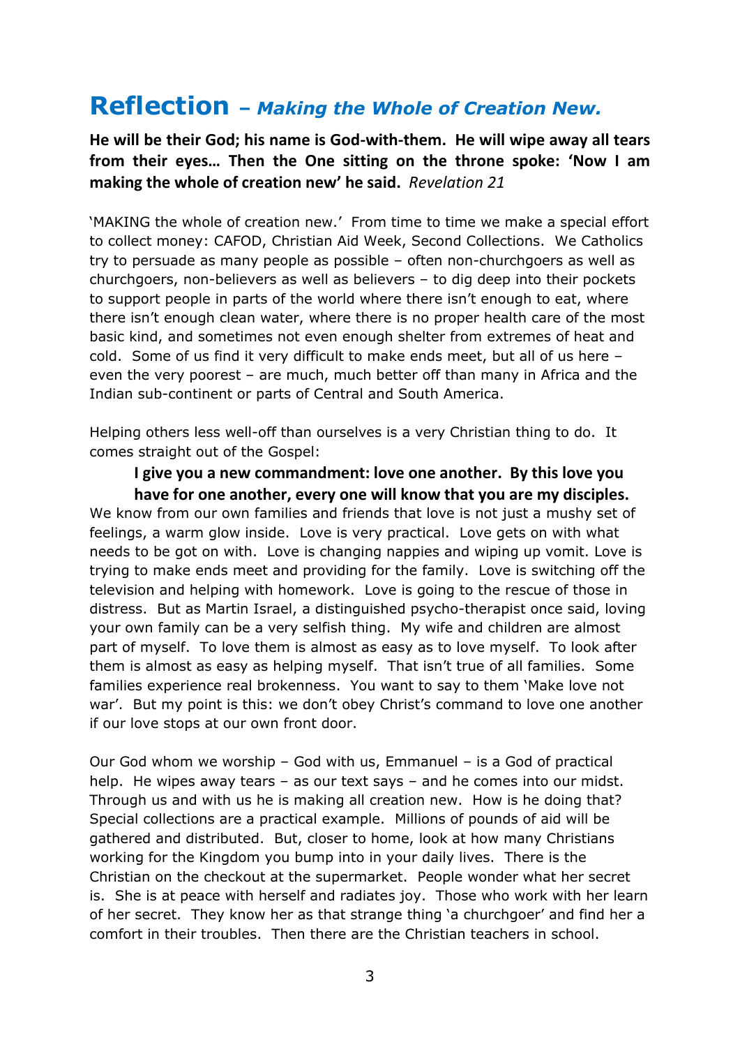## **Reflection –** *Making the Whole of Creation New.*

**He will be their God; his name is God-with-them. He will wipe away all tears from their eyes… Then the One sitting on the throne spoke: 'Now I am making the whole of creation new' he said.** *Revelation 21*

'MAKING the whole of creation new.' From time to time we make a special effort to collect money: CAFOD, Christian Aid Week, Second Collections. We Catholics try to persuade as many people as possible – often non-churchgoers as well as churchgoers, non-believers as well as believers – to dig deep into their pockets to support people in parts of the world where there isn't enough to eat, where there isn't enough clean water, where there is no proper health care of the most basic kind, and sometimes not even enough shelter from extremes of heat and cold. Some of us find it very difficult to make ends meet, but all of us here – even the very poorest – are much, much better off than many in Africa and the Indian sub-continent or parts of Central and South America.

Helping others less well-off than ourselves is a very Christian thing to do. It comes straight out of the Gospel:

### **I give you a new commandment: love one another. By this love you have for one another, every one will know that you are my disciples.**

We know from our own families and friends that love is not just a mushy set of feelings, a warm glow inside. Love is very practical. Love gets on with what needs to be got on with. Love is changing nappies and wiping up vomit. Love is trying to make ends meet and providing for the family. Love is switching off the television and helping with homework. Love is going to the rescue of those in distress. But as Martin Israel, a distinguished psycho-therapist once said, loving your own family can be a very selfish thing. My wife and children are almost part of myself. To love them is almost as easy as to love myself. To look after them is almost as easy as helping myself. That isn't true of all families. Some families experience real brokenness. You want to say to them 'Make love not war'. But my point is this: we don't obey Christ's command to love one another if our love stops at our own front door.

Our God whom we worship – God with us, Emmanuel – is a God of practical help. He wipes away tears – as our text says – and he comes into our midst. Through us and with us he is making all creation new. How is he doing that? Special collections are a practical example. Millions of pounds of aid will be gathered and distributed. But, closer to home, look at how many Christians working for the Kingdom you bump into in your daily lives. There is the Christian on the checkout at the supermarket. People wonder what her secret is. She is at peace with herself and radiates joy. Those who work with her learn of her secret. They know her as that strange thing 'a churchgoer' and find her a comfort in their troubles. Then there are the Christian teachers in school.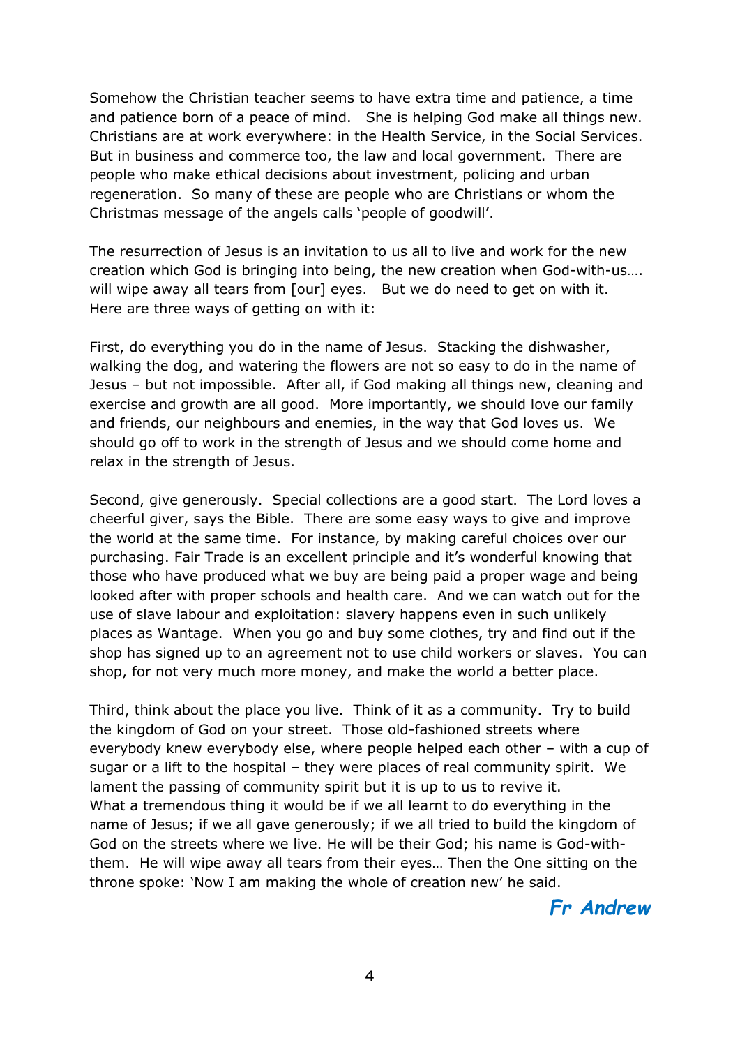Somehow the Christian teacher seems to have extra time and patience, a time and patience born of a peace of mind. She is helping God make all things new. Christians are at work everywhere: in the Health Service, in the Social Services. But in business and commerce too, the law and local government. There are people who make ethical decisions about investment, policing and urban regeneration. So many of these are people who are Christians or whom the Christmas message of the angels calls 'people of goodwill'.

The resurrection of Jesus is an invitation to us all to live and work for the new creation which God is bringing into being, the new creation when God-with-us…. will wipe away all tears from [our] eyes. But we do need to get on with it. Here are three ways of getting on with it:

First, do everything you do in the name of Jesus. Stacking the dishwasher, walking the dog, and watering the flowers are not so easy to do in the name of Jesus – but not impossible. After all, if God making all things new, cleaning and exercise and growth are all good. More importantly, we should love our family and friends, our neighbours and enemies, in the way that God loves us. We should go off to work in the strength of Jesus and we should come home and relax in the strength of Jesus.

Second, give generously. Special collections are a good start. The Lord loves a cheerful giver, says the Bible. There are some easy ways to give and improve the world at the same time. For instance, by making careful choices over our purchasing. Fair Trade is an excellent principle and it's wonderful knowing that those who have produced what we buy are being paid a proper wage and being looked after with proper schools and health care. And we can watch out for the use of slave labour and exploitation: slavery happens even in such unlikely places as Wantage. When you go and buy some clothes, try and find out if the shop has signed up to an agreement not to use child workers or slaves. You can shop, for not very much more money, and make the world a better place.

Third, think about the place you live. Think of it as a community. Try to build the kingdom of God on your street. Those old-fashioned streets where everybody knew everybody else, where people helped each other – with a cup of sugar or a lift to the hospital – they were places of real community spirit. We lament the passing of community spirit but it is up to us to revive it. What a tremendous thing it would be if we all learnt to do everything in the name of Jesus; if we all gave generously; if we all tried to build the kingdom of God on the streets where we live. He will be their God; his name is God-withthem. He will wipe away all tears from their eyes… Then the One sitting on the throne spoke: 'Now I am making the whole of creation new' he said.

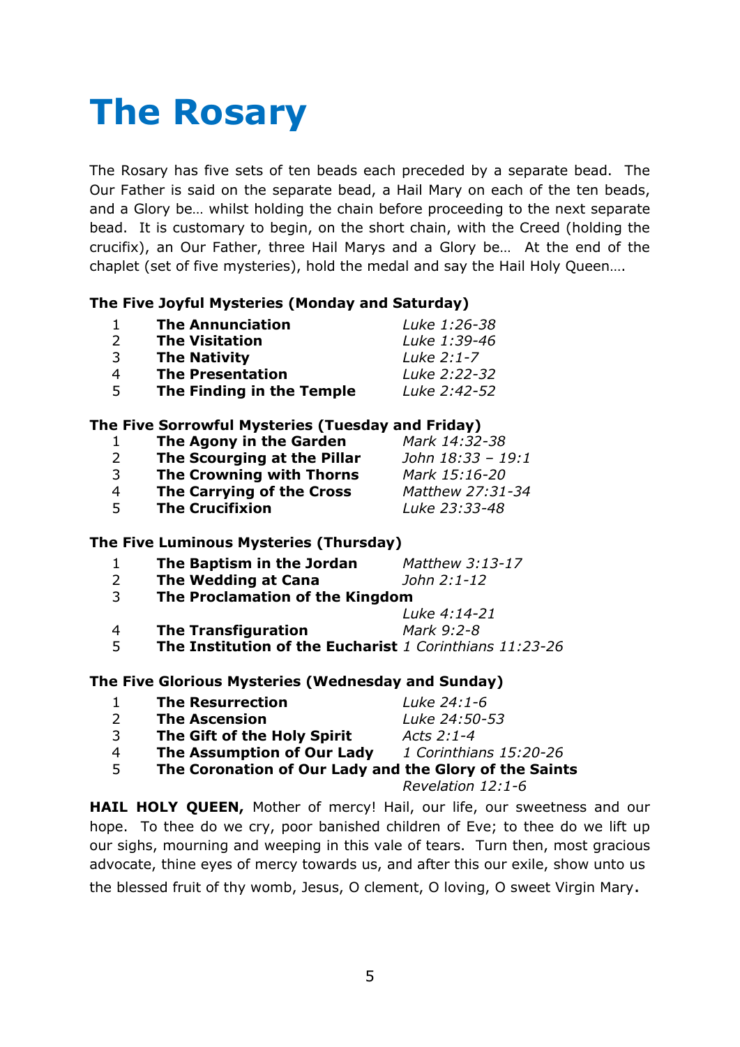# **The Rosary**

The Rosary has five sets of ten beads each preceded by a separate bead. The Our Father is said on the separate bead, a Hail Mary on each of the ten beads, and a Glory be… whilst holding the chain before proceeding to the next separate bead. It is customary to begin, on the short chain, with the Creed (holding the crucifix), an Our Father, three Hail Marys and a Glory be… At the end of the chaplet (set of five mysteries), hold the medal and say the Hail Holy Queen….

### **The Five Joyful Mysteries (Monday and Saturday)**

|               | <b>The Annunciation</b>   | Luke 1:26-38 |
|---------------|---------------------------|--------------|
| $\mathcal{L}$ | <b>The Visitation</b>     | Luke 1:39-46 |
| ्२            | <b>The Nativity</b>       | Luke 2:1-7   |
|               | <b>The Presentation</b>   | Luke 2:22-32 |
| -5            | The Finding in the Temple | Luke 2:42-52 |

### **The Five Sorrowful Mysteries (Tuesday and Friday)**

| 1  | The Agony in the Garden         | Mark 14:32-38     |
|----|---------------------------------|-------------------|
| 2  | The Scourging at the Pillar     | John 18:33 - 19:1 |
| 3  | <b>The Crowning with Thorns</b> | Mark 15:16-20     |
| 4  | The Carrying of the Cross       | Matthew 27:31-34  |
| .5 | <b>The Crucifixion</b>          | Luke 23:33-48     |

### **The Five Luminous Mysteries (Thursday)**

| 1 | The Baptism in the Jordan                               | Matthew 3:13-17 |
|---|---------------------------------------------------------|-----------------|
| 2 | The Wedding at Cana                                     | John 2:1-12     |
| 3 | The Proclamation of the Kingdom                         |                 |
|   |                                                         | Luke 4:14-21    |
| 4 | <b>The Transfiguration</b>                              | Mark 9:2-8      |
| 5 | The Institution of the Eucharist 1 Corinthians 11:23-26 |                 |

### **The Five Glorious Mysteries (Wednesday and Sunday)**

| $\mathbf{1}$   | <b>The Resurrection</b>                                | Luke 24:1-6            |
|----------------|--------------------------------------------------------|------------------------|
| $\mathcal{L}$  | <b>The Ascension</b>                                   | Luke 24:50-53          |
| 3              | The Gift of the Holy Spirit                            | Acts 2:1-4             |
| $\overline{4}$ | The Assumption of Our Lady                             | 1 Corinthians 15:20-26 |
| -5             | The Coronation of Our Lady and the Glory of the Saints |                        |
|                |                                                        | Revelation 12:1-6      |

**HAIL HOLY QUEEN,** Mother of mercy! Hail, our life, our sweetness and our hope. To thee do we cry, poor banished children of Eve; to thee do we lift up our sighs, mourning and weeping in this vale of tears. Turn then, most gracious advocate, thine eyes of mercy towards us, and after this our exile, show unto us the blessed fruit of thy womb, Jesus, O clement, O loving, O sweet Virgin Mary.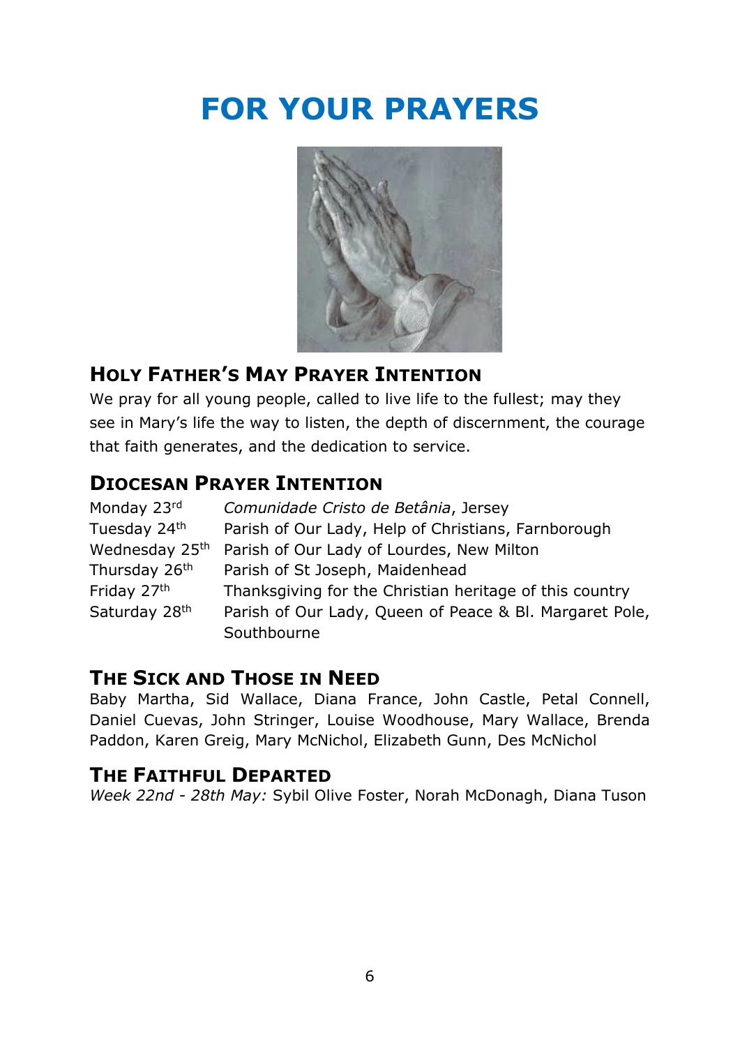# **FOR YOUR PRAYERS**



## **HOLY FATHER'S MAY PRAYER INTENTION**

We pray for all young people, called to live life to the fullest; may they see in Mary's life the way to listen, the depth of discernment, the courage that faith generates, and the dedication to service.

### **DIOCESAN PRAYER INTENTION**

| Monday 23rd               | Comunidade Cristo de Betânia, Jersey                    |
|---------------------------|---------------------------------------------------------|
| Tuesday 24 <sup>th</sup>  | Parish of Our Lady, Help of Christians, Farnborough     |
| Wednesday 25th            | Parish of Our Lady of Lourdes, New Milton               |
| Thursday 26 <sup>th</sup> | Parish of St Joseph, Maidenhead                         |
| Friday 27th               | Thanksgiving for the Christian heritage of this country |
| Saturday 28th             | Parish of Our Lady, Queen of Peace & Bl. Margaret Pole, |
|                           | Southbourne                                             |

### **THE SICK AND THOSE IN NEED**

Baby Martha, Sid Wallace, Diana France, John Castle, Petal Connell, Daniel Cuevas, John Stringer, Louise Woodhouse, Mary Wallace, Brenda Paddon, Karen Greig, Mary McNichol, Elizabeth Gunn, Des McNichol

### **THE FAITHFUL DEPARTED**

*Week 22nd - 28th May:* Sybil Olive Foster, Norah McDonagh, Diana Tuson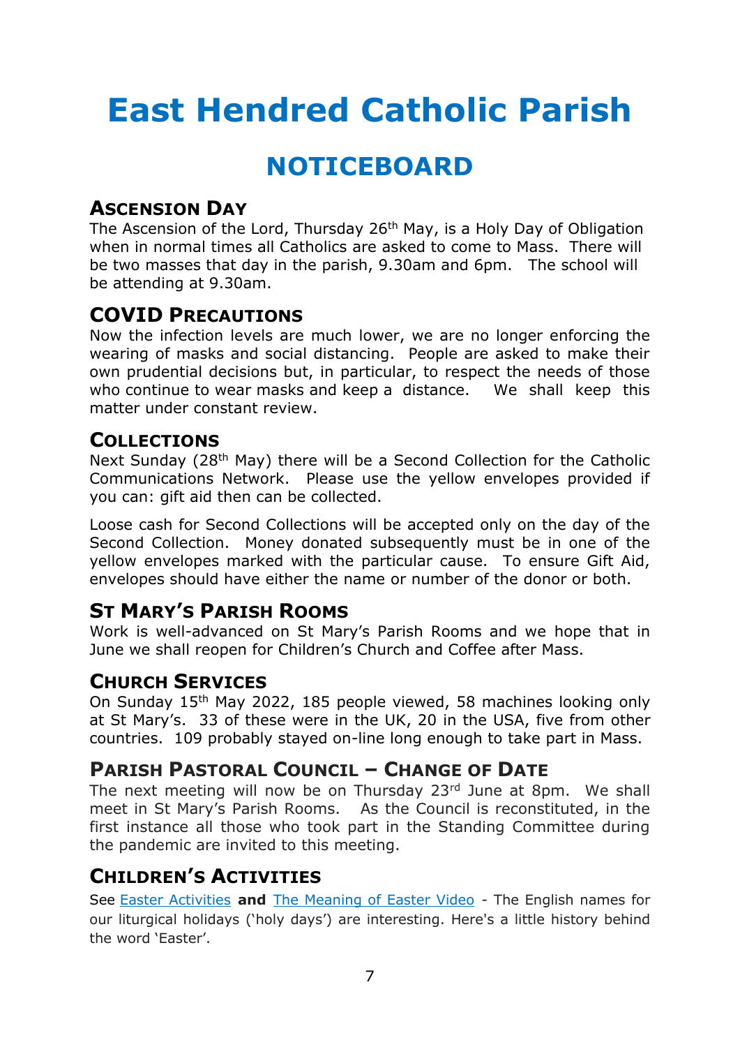# **East Hendred Catholic Parish**

# **NOTICEBOARD**

### **ASCENSION DAY**

The Ascension of the Lord, Thursday 26<sup>th</sup> May, is a Holy Day of Obligation when in normal times all Catholics are asked to come to Mass. There will be two masses that day in the parish, 9.30am and 6pm. The school will be attending at 9.30am.

### **COVID PRECAUTIONS**

Now the infection levels are much lower, we are no longer enforcing the wearing of masks and social distancing. People are asked to make their own prudential decisions but, in particular, to respect the needs of those who continue to wear masks and keep a distance. We shall keep this matter under constant review.

### **COLLECTIONS**

Next Sunday (28<sup>th</sup> May) there will be a Second Collection for the Catholic Communications Network. Please use the yellow envelopes provided if you can: gift aid then can be collected.

Loose cash for Second Collections will be accepted only on the day of the Second Collection. Money donated subsequently must be in one of the yellow envelopes marked with the particular cause. To ensure Gift Aid, envelopes should have either the name or number of the donor or both.

### **ST MARY'S PARISH ROOMS**

Work is well-advanced on St Mary's Parish Rooms and we hope that in June we shall reopen for Children's Church and Coffee after Mass.

### **CHURCH SERVICES**

On Sunday 15th May 2022, 185 people viewed, 58 machines looking only at St Mary's. 33 of these were in the UK, 20 in the USA, five from other countries. 109 probably stayed on-line long enough to take part in Mass.

### **PARISH PASTORAL COUNCIL – CHANGE OF DATE**

The next meeting will now be on Thursday 23rd June at 8pm. We shall meet in St Mary's Parish Rooms. As the Council is reconstituted, in the first instance all those who took part in the Standing Committee during the pandemic are invited to this meeting.

### **CHILDREN'S ACTIVITIES**

See Easter Activities **and** The Meaning of Easter Video - The English names for our liturgical holidays ('holy days') are interesting. Here's a little history behind the word 'Easter'.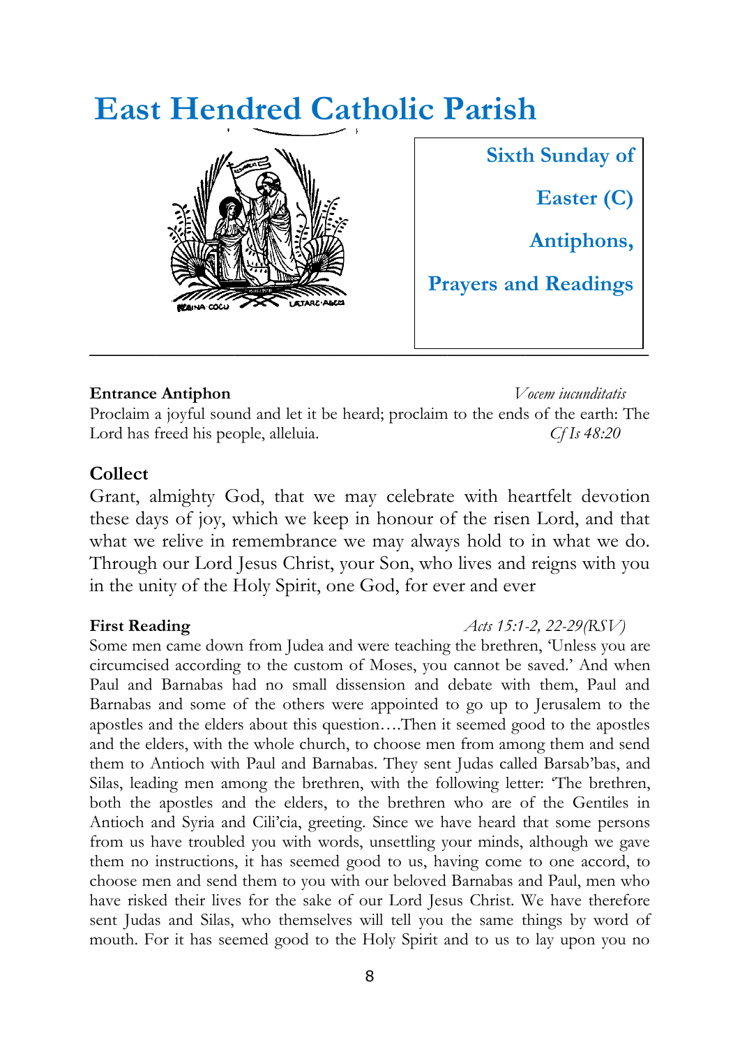# **East Hendred Catholic Parish**



**\_\_\_\_\_\_\_\_\_\_\_\_\_\_\_\_\_\_\_\_\_\_\_\_\_\_\_\_\_\_\_\_\_\_\_\_\_\_\_\_\_\_\_\_\_\_\_\_\_\_ Sixth Sunday of Easter (C) Antiphons, Prayers and Readings**

### **Entrance Antiphon** *Vocem iucunditatis*

Proclaim a joyful sound and let it be heard; proclaim to the ends of the earth: The Lord has freed his people, alleluia. *Cf Is 48:20*

### **Collect**

Grant, almighty God, that we may celebrate with heartfelt devotion these days of joy, which we keep in honour of the risen Lord, and that what we relive in remembrance we may always hold to in what we do. Through our Lord Jesus Christ, your Son, who lives and reigns with you in the unity of the Holy Spirit, one God, for ever and ever

### **First Reading** *Acts 15:1-2, 22-29(RSV)*

Some men came down from Judea and were teaching the brethren, 'Unless you are circumcised according to the custom of Moses, you cannot be saved.' And when Paul and Barnabas had no small dissension and debate with them, Paul and Barnabas and some of the others were appointed to go up to Jerusalem to the apostles and the elders about this question….Then it seemed good to the apostles and the elders, with the whole church, to choose men from among them and send them to Antioch with Paul and Barnabas. They sent Judas called Barsab'bas, and Silas, leading men among the brethren, with the following letter: 'The brethren, both the apostles and the elders, to the brethren who are of the Gentiles in Antioch and Syria and Cili'cia, greeting. Since we have heard that some persons from us have troubled you with words, unsettling your minds, although we gave them no instructions, it has seemed good to us, having come to one accord, to choose men and send them to you with our beloved Barnabas and Paul, men who have risked their lives for the sake of our Lord Jesus Christ. We have therefore sent Judas and Silas, who themselves will tell you the same things by word of mouth. For it has seemed good to the Holy Spirit and to us to lay upon you no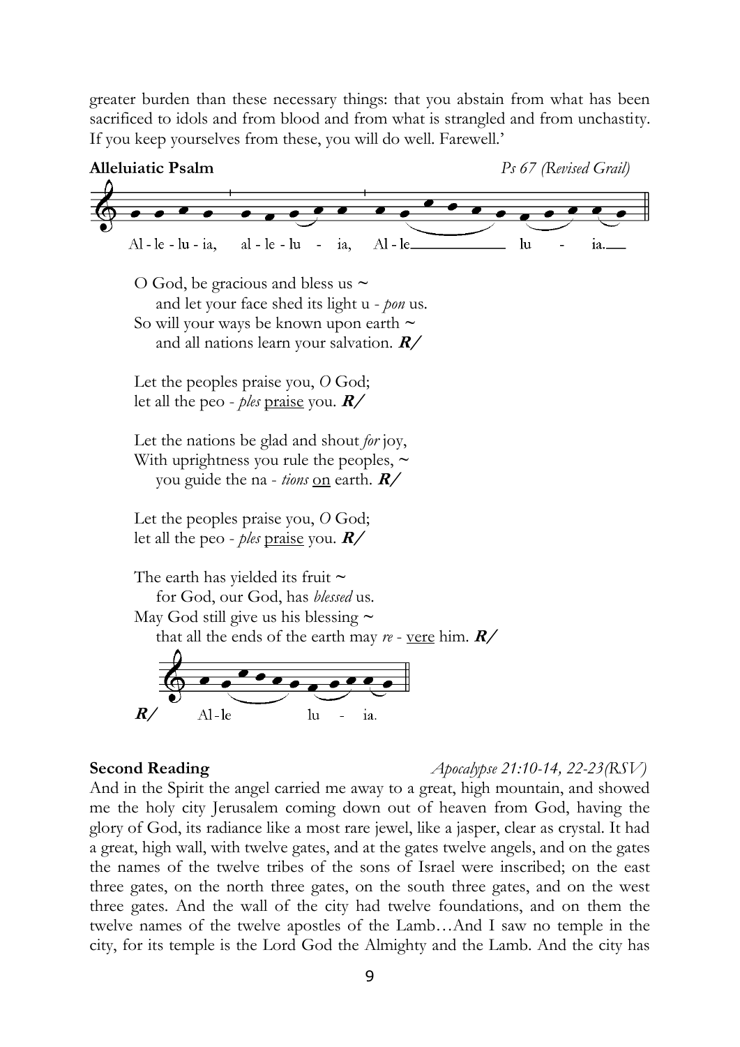greater burden than these necessary things: that you abstain from what has been sacrificed to idols and from blood and from what is strangled and from unchastity. If you keep yourselves from these, you will do well. Farewell.'



**Second Reading** *Apocalypse 21:10-14, 22-23(RSV)*

And in the Spirit the angel carried me away to a great, high mountain, and showed me the holy city Jerusalem coming down out of heaven from God, having the glory of God, its radiance like a most rare jewel, like a jasper, clear as crystal. It had a great, high wall, with twelve gates, and at the gates twelve angels, and on the gates the names of the twelve tribes of the sons of Israel were inscribed; on the east three gates, on the north three gates, on the south three gates, and on the west three gates. And the wall of the city had twelve foundations, and on them the twelve names of the twelve apostles of the Lamb…And I saw no temple in the city, for its temple is the Lord God the Almighty and the Lamb. And the city has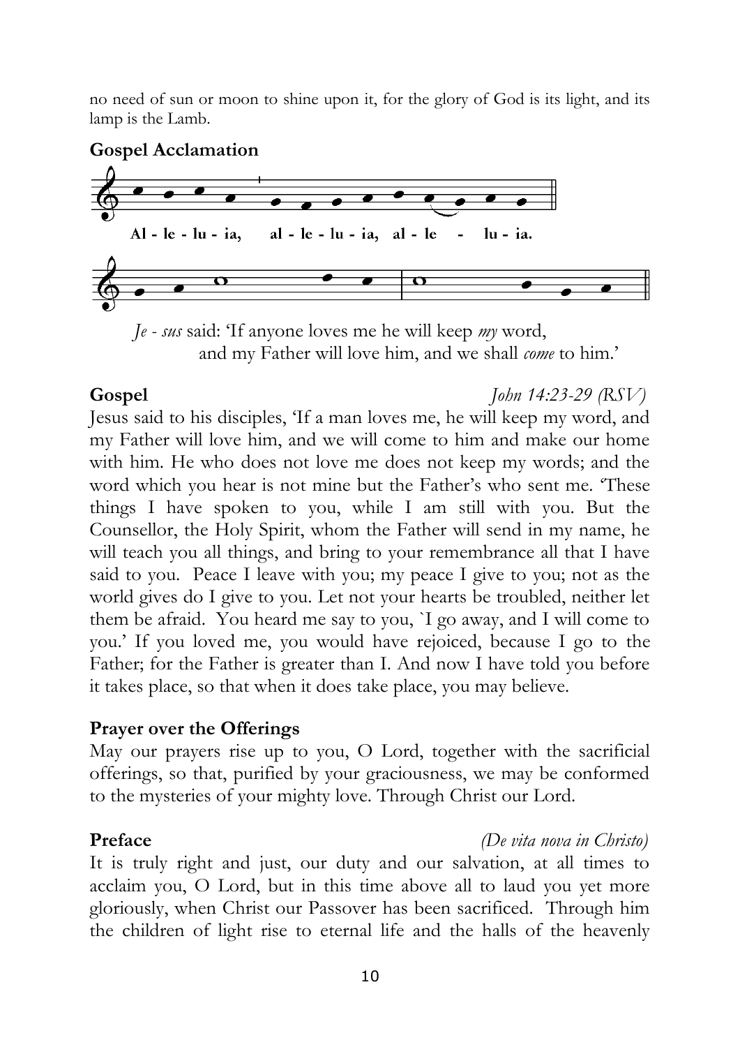no need of sun or moon to shine upon it, for the glory of God is its light, and its lamp is the Lamb.

### **Gospel Acclamation**



 *Je - sus* said: 'If anyone loves me he will keep *my* word, and my Father will love him, and we shall *come* to him.'

### **Gospel** *John 14:23-29 (RSV)*

Jesus said to his disciples, 'If a man loves me, he will keep my word, and my Father will love him, and we will come to him and make our home with him. He who does not love me does not keep my words; and the word which you hear is not mine but the Father's who sent me. 'These things I have spoken to you, while I am still with you. But the Counsellor, the Holy Spirit, whom the Father will send in my name, he will teach you all things, and bring to your remembrance all that I have said to you. Peace I leave with you; my peace I give to you; not as the world gives do I give to you. Let not your hearts be troubled, neither let them be afraid. You heard me say to you, `I go away, and I will come to you.' If you loved me, you would have rejoiced, because I go to the Father; for the Father is greater than I. And now I have told you before it takes place, so that when it does take place, you may believe.

### **Prayer over the Offerings**

May our prayers rise up to you, O Lord, together with the sacrificial offerings, so that, purified by your graciousness, we may be conformed to the mysteries of your mighty love. Through Christ our Lord.

### **Preface** *(De vita nova in Christo)*

It is truly right and just, our duty and our salvation, at all times to acclaim you, O Lord, but in this time above all to laud you yet more gloriously, when Christ our Passover has been sacrificed. Through him the children of light rise to eternal life and the halls of the heavenly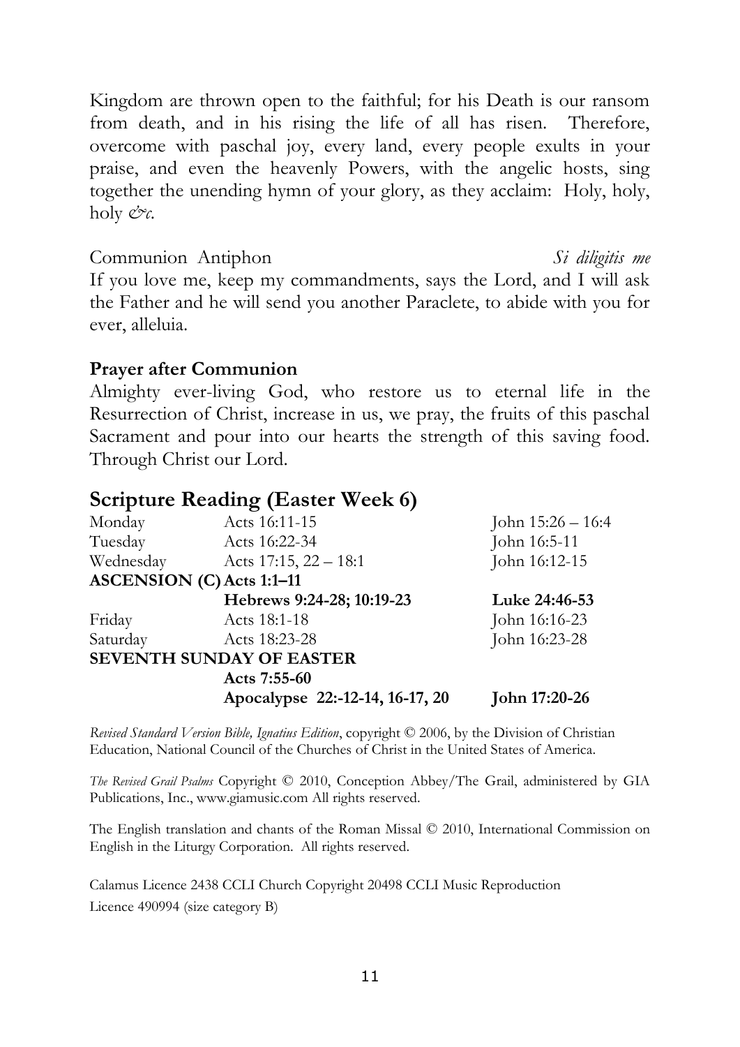Kingdom are thrown open to the faithful; for his Death is our ransom from death, and in his rising the life of all has risen. Therefore, overcome with paschal joy, every land, every people exults in your praise, and even the heavenly Powers, with the angelic hosts, sing together the unending hymn of your glory, as they acclaim: Holy, holy, holy *&c.*

Communion Antiphon *Si diligitis me* If you love me, keep my commandments, says the Lord, and I will ask the Father and he will send you another Paraclete, to abide with you for ever, alleluia.

### **Prayer after Communion**

Almighty ever-living God, who restore us to eternal life in the Resurrection of Christ, increase in us, we pray, the fruits of this paschal Sacrament and pour into our hearts the strength of this saving food. Through Christ our Lord.

### **Scripture Reading (Easter Week 6)**

| Monday    | Acts 16:11-15                    | John $15:26 - 16:4$ |
|-----------|----------------------------------|---------------------|
| Tuesday   | Acts 16:22-34                    | John 16:5-11        |
| Wednesday | Acts 17:15, $22 - 18:1$          | John 16:12-15       |
|           | <b>ASCENSION (C) Acts 1:1-11</b> |                     |
|           | Hebrews 9:24-28; 10:19-23        | Luke 24:46-53       |
| Friday    | Acts 18:1-18                     | John 16:16-23       |
| Saturday  | Acts 18:23-28                    | John 16:23-28       |
|           | <b>SEVENTH SUNDAY OF EASTER</b>  |                     |
|           | Acts 7:55-60                     |                     |
|           | Apocalypse 22:-12-14, 16-17, 20  | John 17:20-26       |

*Revised Standard Version Bible, Ignatius Edition*, copyright © 2006, by the Division of Christian Education, National Council of the Churches of Christ in the United States of America.

*The Revised Grail Psalms* Copyright © 2010, Conception Abbey/The Grail, administered by GIA Publications, Inc., www.giamusic.com All rights reserved.

The English translation and chants of the Roman Missal © 2010, International Commission on English in the Liturgy Corporation. All rights reserved.

Calamus Licence 2438 CCLI Church Copyright 20498 CCLI Music Reproduction Licence 490994 (size category B)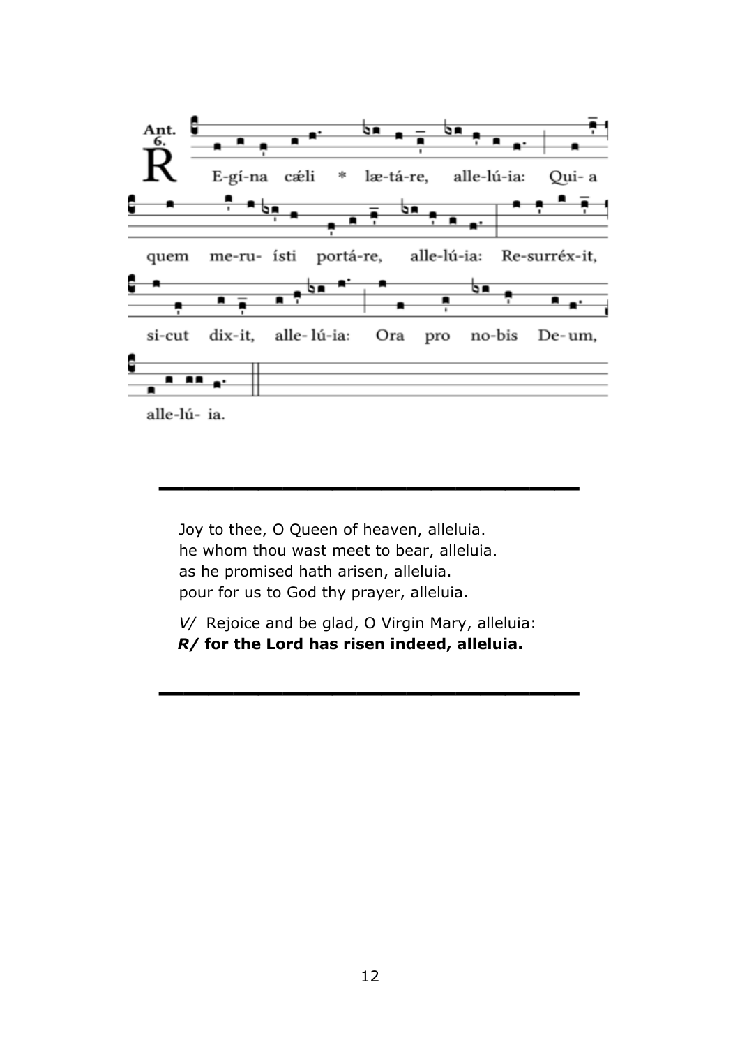

**\_\_\_\_\_\_\_\_\_\_\_\_\_\_\_\_\_**

Joy to thee, O Queen of heaven, alleluia. he whom thou wast meet to bear, alleluia. as he promised hath arisen, alleluia. pour for us to God thy prayer, alleluia.

*V/* Rejoice and be glad, O Virgin Mary, alleluia: *R/* **for the Lord has risen indeed, alleluia.**

**\_\_\_\_\_\_\_\_\_\_\_\_\_\_\_\_\_**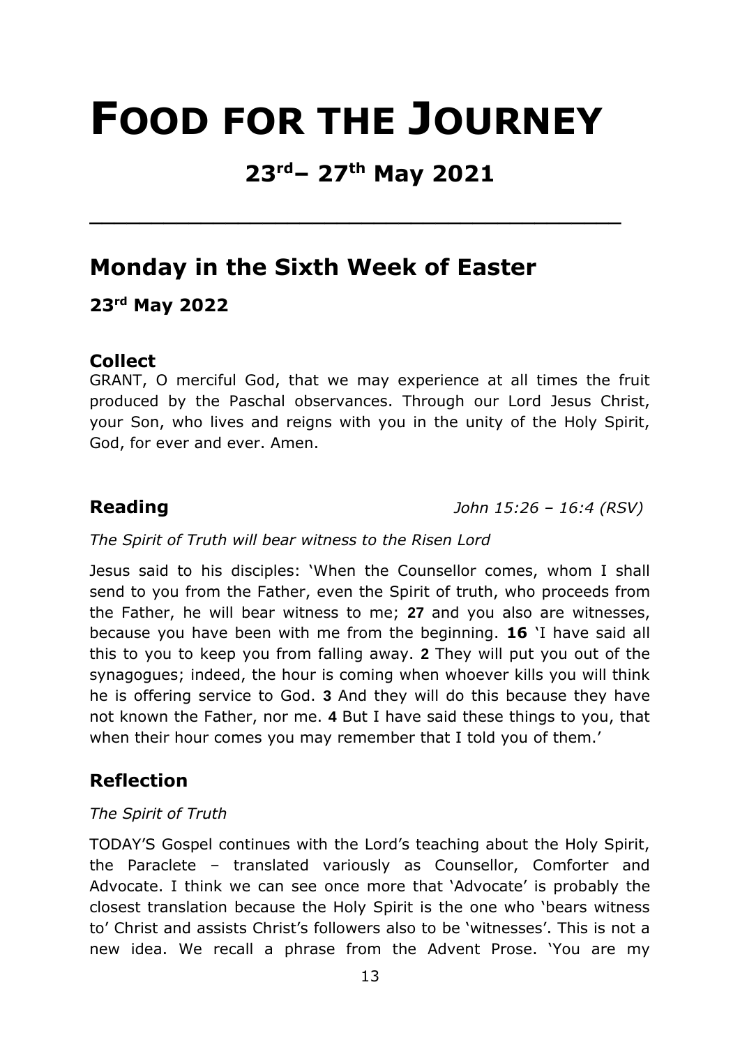# **FOOD FOR THE JOURNEY**

## **23rd– 27th May 2021**

**\_\_\_\_\_\_\_\_\_\_\_\_\_\_\_\_\_\_\_\_\_\_\_\_\_\_\_\_\_\_\_\_\_\_\_\_\_\_\_\_\_\_\_** 

## **Monday in the Sixth Week of Easter**

### **23rd May 2022**

### **Collect**

GRANT, O merciful God, that we may experience at all times the fruit produced by the Paschal observances. Through our Lord Jesus Christ, your Son, who lives and reigns with you in the unity of the Holy Spirit, God, for ever and ever. Amen.

**Reading** *John 15:26 – 16:4 (RSV)* 

### *The Spirit of Truth will bear witness to the Risen Lord*

Jesus said to his disciples: 'When the Counsellor comes, whom I shall send to you from the Father, even the Spirit of truth, who proceeds from the Father, he will bear witness to me; **27** and you also are witnesses, because you have been with me from the beginning. **16** 'I have said all this to you to keep you from falling away. **2** They will put you out of the synagogues; indeed, the hour is coming when whoever kills you will think he is offering service to God. **3** And they will do this because they have not known the Father, nor me. **4** But I have said these things to you, that when their hour comes you may remember that I told you of them.'

### **Reflection**

### *The Spirit of Truth*

TODAY'S Gospel continues with the Lord's teaching about the Holy Spirit, the Paraclete – translated variously as Counsellor, Comforter and Advocate. I think we can see once more that 'Advocate' is probably the closest translation because the Holy Spirit is the one who 'bears witness to' Christ and assists Christ's followers also to be 'witnesses'. This is not a new idea. We recall a phrase from the Advent Prose. 'You are my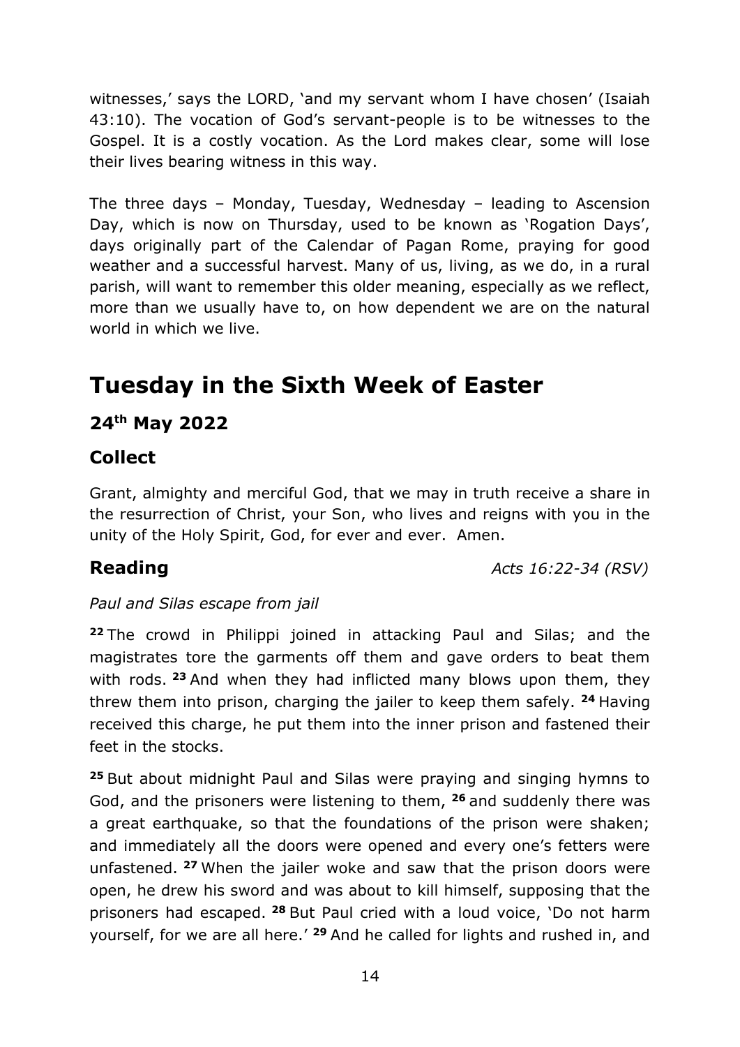witnesses,' says the LORD, 'and my servant whom I have chosen' (Isaiah 43:10). The vocation of God's servant-people is to be witnesses to the Gospel. It is a costly vocation. As the Lord makes clear, some will lose their lives bearing witness in this way.

The three days – Monday, Tuesday, Wednesday – leading to Ascension Day, which is now on Thursday, used to be known as 'Rogation Days', days originally part of the Calendar of Pagan Rome, praying for good weather and a successful harvest. Many of us, living, as we do, in a rural parish, will want to remember this older meaning, especially as we reflect, more than we usually have to, on how dependent we are on the natural world in which we live.

## **Tuesday in the Sixth Week of Easter**

### **24th May 2022**

### **Collect**

Grant, almighty and merciful God, that we may in truth receive a share in the resurrection of Christ, your Son, who lives and reigns with you in the unity of the Holy Spirit, God, for ever and ever. Amen.

**Reading** *Acts 16:22-34 (RSV)*

### *Paul and Silas escape from jail*

**<sup>22</sup>** The crowd in Philippi joined in attacking Paul and Silas; and the magistrates tore the garments off them and gave orders to beat them with rods. **<sup>23</sup>** And when they had inflicted many blows upon them, they threw them into prison, charging the jailer to keep them safely. **<sup>24</sup>** Having received this charge, he put them into the inner prison and fastened their feet in the stocks.

**<sup>25</sup>** But about midnight Paul and Silas were praying and singing hymns to God, and the prisoners were listening to them, **<sup>26</sup>** and suddenly there was a great earthquake, so that the foundations of the prison were shaken; and immediately all the doors were opened and every one's fetters were unfastened. **<sup>27</sup>** When the jailer woke and saw that the prison doors were open, he drew his sword and was about to kill himself, supposing that the prisoners had escaped. **<sup>28</sup>** But Paul cried with a loud voice, 'Do not harm yourself, for we are all here.' **<sup>29</sup>** And he called for lights and rushed in, and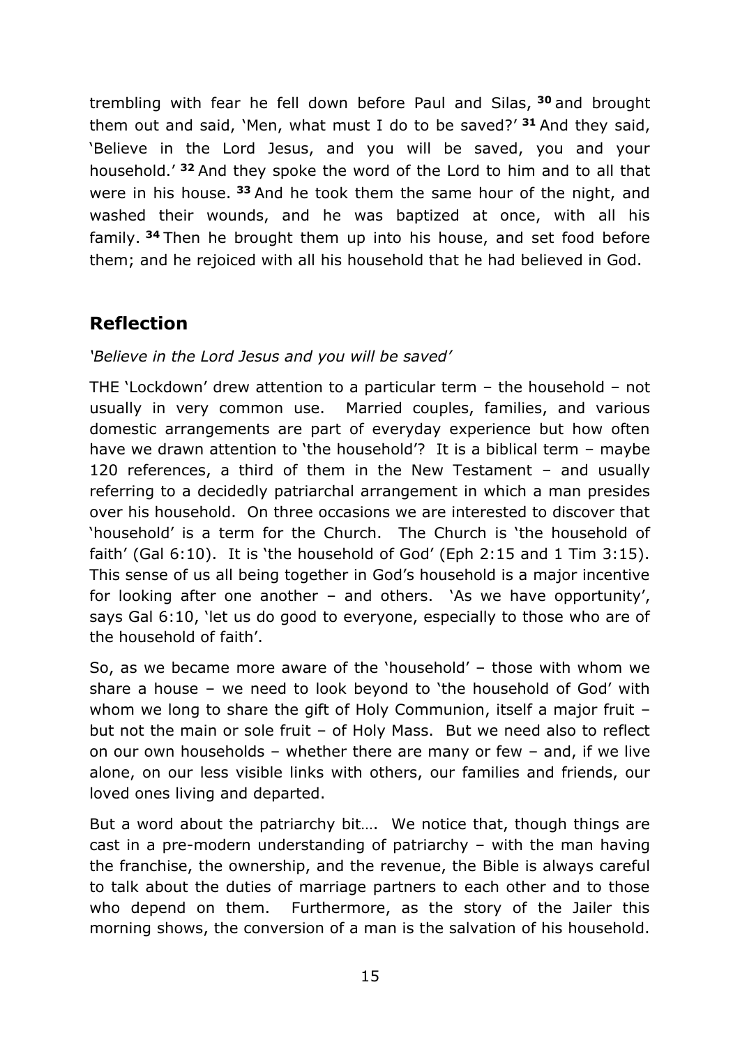trembling with fear he fell down before Paul and Silas, **<sup>30</sup>** and brought them out and said, 'Men, what must I do to be saved?' **<sup>31</sup>** And they said, 'Believe in the Lord Jesus, and you will be saved, you and your household.' **<sup>32</sup>** And they spoke the word of the Lord to him and to all that were in his house. **<sup>33</sup>** And he took them the same hour of the night, and washed their wounds, and he was baptized at once, with all his family. **<sup>34</sup>** Then he brought them up into his house, and set food before them; and he rejoiced with all his household that he had believed in God.

### **Reflection**

### *'Believe in the Lord Jesus and you will be saved'*

THE 'Lockdown' drew attention to a particular term – the household – not usually in very common use. Married couples, families, and various domestic arrangements are part of everyday experience but how often have we drawn attention to 'the household'? It is a biblical term – maybe 120 references, a third of them in the New Testament – and usually referring to a decidedly patriarchal arrangement in which a man presides over his household. On three occasions we are interested to discover that 'household' is a term for the Church. The Church is 'the household of faith' (Gal 6:10). It is 'the household of God' (Eph 2:15 and 1 Tim 3:15). This sense of us all being together in God's household is a major incentive for looking after one another – and others. 'As we have opportunity', says Gal 6:10, 'let us do good to everyone, especially to those who are of the household of faith'.

So, as we became more aware of the 'household' – those with whom we share a house – we need to look beyond to 'the household of God' with whom we long to share the gift of Holy Communion, itself a major fruit but not the main or sole fruit – of Holy Mass. But we need also to reflect on our own households – whether there are many or few – and, if we live alone, on our less visible links with others, our families and friends, our loved ones living and departed.

But a word about the patriarchy bit…. We notice that, though things are cast in a pre-modern understanding of patriarchy – with the man having the franchise, the ownership, and the revenue, the Bible is always careful to talk about the duties of marriage partners to each other and to those who depend on them. Furthermore, as the story of the Jailer this morning shows, the conversion of a man is the salvation of his household.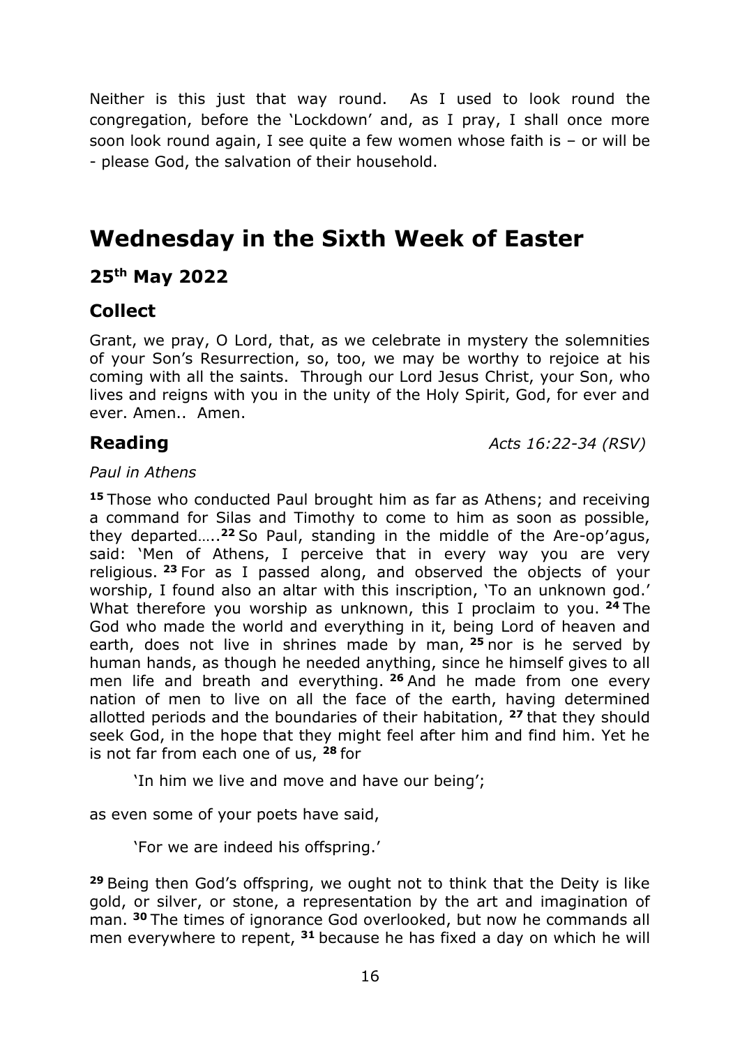Neither is this just that way round. As I used to look round the congregation, before the 'Lockdown' and, as I pray, I shall once more soon look round again, I see quite a few women whose faith is – or will be - please God, the salvation of their household.

## **Wednesday in the Sixth Week of Easter**

### **25th May 2022**

### **Collect**

Grant, we pray, O Lord, that, as we celebrate in mystery the solemnities of your Son's Resurrection, so, too, we may be worthy to rejoice at his coming with all the saints. Through our Lord Jesus Christ, your Son, who lives and reigns with you in the unity of the Holy Spirit, God, for ever and ever. Amen.. Amen.

**Reading** *Acts 16:22-34 (RSV)*

### *Paul in Athens*

**<sup>15</sup>** Those who conducted Paul brought him as far as Athens; and receiving a command for Silas and Timothy to come to him as soon as possible, they departed….. **<sup>22</sup>** So Paul, standing in the middle of the Are-op′agus, said: 'Men of Athens, I perceive that in every way you are very religious. **<sup>23</sup>** For as I passed along, and observed the objects of your worship, I found also an altar with this inscription, 'To an unknown god.' What therefore you worship as unknown, this I proclaim to you. **<sup>24</sup>** The God who made the world and everything in it, being Lord of heaven and earth, does not live in shrines made by man, **<sup>25</sup>** nor is he served by human hands, as though he needed anything, since he himself gives to all men life and breath and everything. **<sup>26</sup>** And he made from one every nation of men to live on all the face of the earth, having determined allotted periods and the boundaries of their habitation, **<sup>27</sup>** that they should seek God, in the hope that they might feel after him and find him. Yet he is not far from each one of us, **<sup>28</sup>** for

'In him we live and move and have our being';

as even some of your poets have said,

'For we are indeed his offspring.'

**<sup>29</sup>** Being then God's offspring, we ought not to think that the Deity is like gold, or silver, or stone, a representation by the art and imagination of man. **<sup>30</sup>** The times of ignorance God overlooked, but now he commands all men everywhere to repent, **<sup>31</sup>** because he has fixed a day on which he will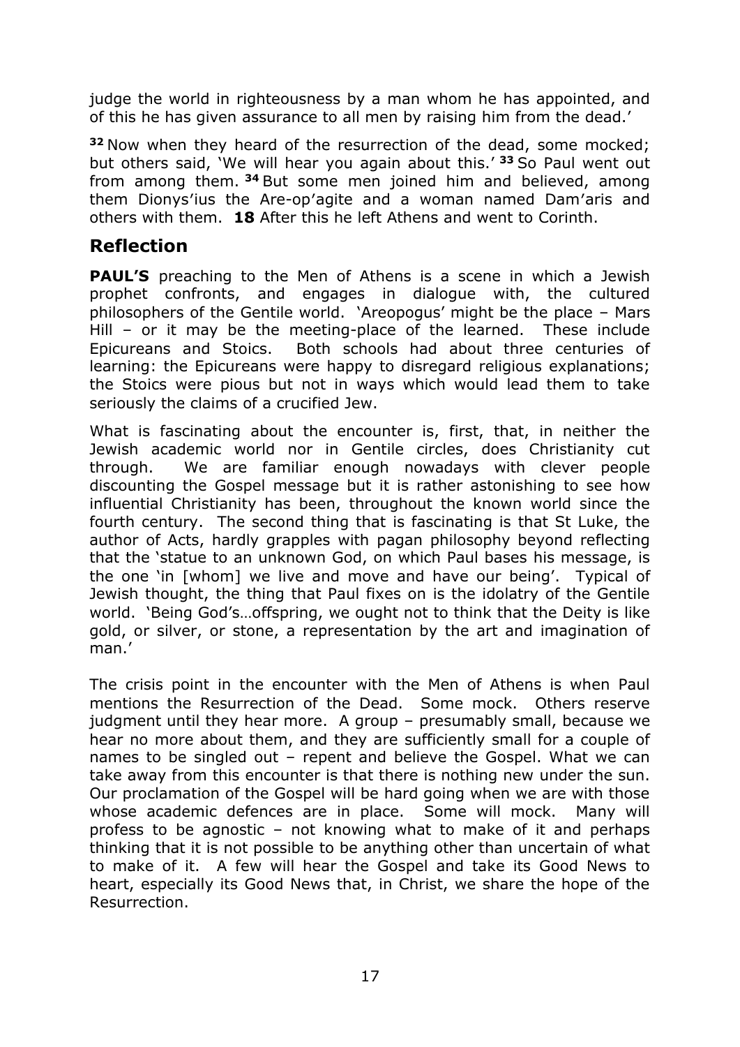judge the world in righteousness by a man whom he has appointed, and of this he has given assurance to all men by raising him from the dead.'

**<sup>32</sup>** Now when they heard of the resurrection of the dead, some mocked; but others said, 'We will hear you again about this.' **<sup>33</sup>** So Paul went out from among them. **<sup>34</sup>** But some men joined him and believed, among them Dionys′ius the Are-op′agite and a woman named Dam′aris and others with them. **18** After this he left Athens and went to Corinth.

### **Reflection**

**PAUL'S** preaching to the Men of Athens is a scene in which a Jewish prophet confronts, and engages in dialogue with, the cultured philosophers of the Gentile world. 'Areopogus' might be the place – Mars Hill – or it may be the meeting-place of the learned. These include Epicureans and Stoics. Both schools had about three centuries of learning: the Epicureans were happy to disregard religious explanations; the Stoics were pious but not in ways which would lead them to take seriously the claims of a crucified Jew.

What is fascinating about the encounter is, first, that, in neither the Jewish academic world nor in Gentile circles, does Christianity cut through. We are familiar enough nowadays with clever people discounting the Gospel message but it is rather astonishing to see how influential Christianity has been, throughout the known world since the fourth century. The second thing that is fascinating is that St Luke, the author of Acts, hardly grapples with pagan philosophy beyond reflecting that the 'statue to an unknown God, on which Paul bases his message, is the one 'in [whom] we live and move and have our being'. Typical of Jewish thought, the thing that Paul fixes on is the idolatry of the Gentile world. 'Being God's…offspring, we ought not to think that the Deity is like gold, or silver, or stone, a representation by the art and imagination of man.'

The crisis point in the encounter with the Men of Athens is when Paul mentions the Resurrection of the Dead. Some mock. Others reserve judgment until they hear more. A group – presumably small, because we hear no more about them, and they are sufficiently small for a couple of names to be singled out – repent and believe the Gospel. What we can take away from this encounter is that there is nothing new under the sun. Our proclamation of the Gospel will be hard going when we are with those whose academic defences are in place. Some will mock. Many will profess to be agnostic – not knowing what to make of it and perhaps thinking that it is not possible to be anything other than uncertain of what to make of it. A few will hear the Gospel and take its Good News to heart, especially its Good News that, in Christ, we share the hope of the Resurrection.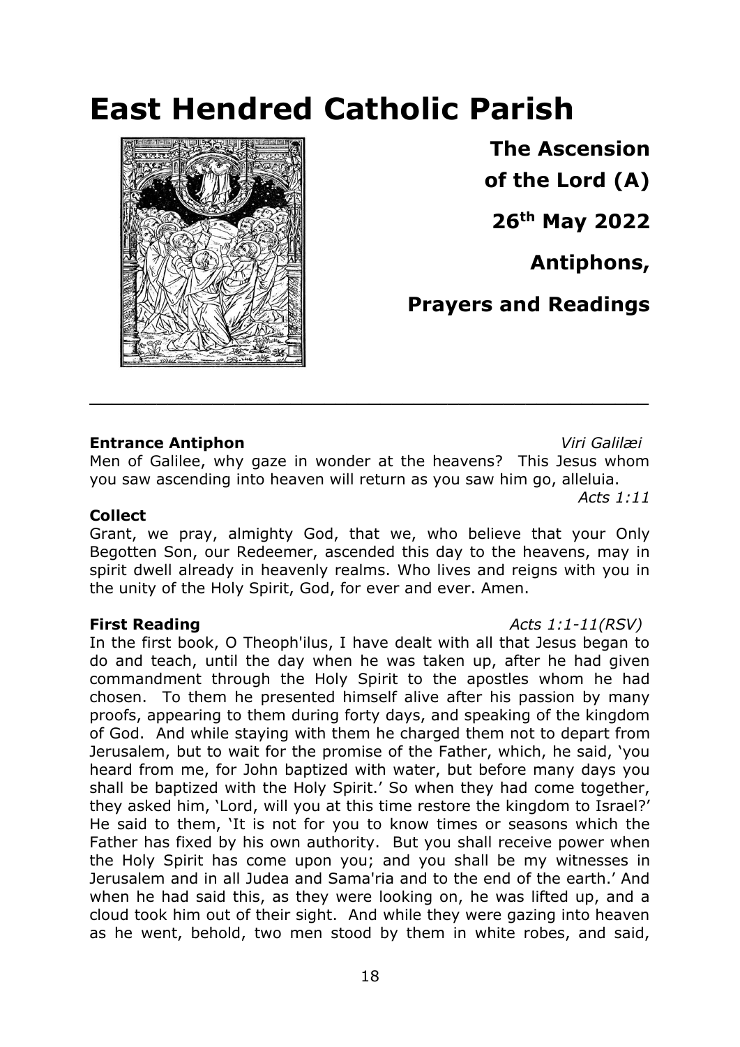# **East Hendred Catholic Parish**



**The Ascension of the Lord (A)** 

**26th May 2022**

**Antiphons,**

**Prayers and Readings**

### **Entrance Antiphon** *Viri Galilæi*

Men of Galilee, why gaze in wonder at the heavens? This Jesus whom you saw ascending into heaven will return as you saw him go, alleluia.

**\_\_\_\_\_\_\_\_\_\_\_\_\_\_\_\_\_\_\_\_\_\_\_\_\_\_\_\_\_\_\_\_\_\_\_\_\_\_\_\_\_\_\_\_\_\_\_\_\_\_**

*Acts 1:11* 

### **Collect**

Grant, we pray, almighty God, that we, who believe that your Only Begotten Son, our Redeemer, ascended this day to the heavens, may in spirit dwell already in heavenly realms. Who lives and reigns with you in the unity of the Holy Spirit, God, for ever and ever. Amen.

### **First Reading** *Acts 1:1-11(RSV)*

In the first book, O Theoph'ilus, I have dealt with all that Jesus began to do and teach, until the day when he was taken up, after he had given commandment through the Holy Spirit to the apostles whom he had chosen. To them he presented himself alive after his passion by many proofs, appearing to them during forty days, and speaking of the kingdom of God. And while staying with them he charged them not to depart from Jerusalem, but to wait for the promise of the Father, which, he said, 'you heard from me, for John baptized with water, but before many days you shall be baptized with the Holy Spirit.' So when they had come together, they asked him, 'Lord, will you at this time restore the kingdom to Israel?' He said to them, 'It is not for you to know times or seasons which the Father has fixed by his own authority. But you shall receive power when the Holy Spirit has come upon you; and you shall be my witnesses in Jerusalem and in all Judea and Sama'ria and to the end of the earth.' And when he had said this, as they were looking on, he was lifted up, and a cloud took him out of their sight. And while they were gazing into heaven as he went, behold, two men stood by them in white robes, and said,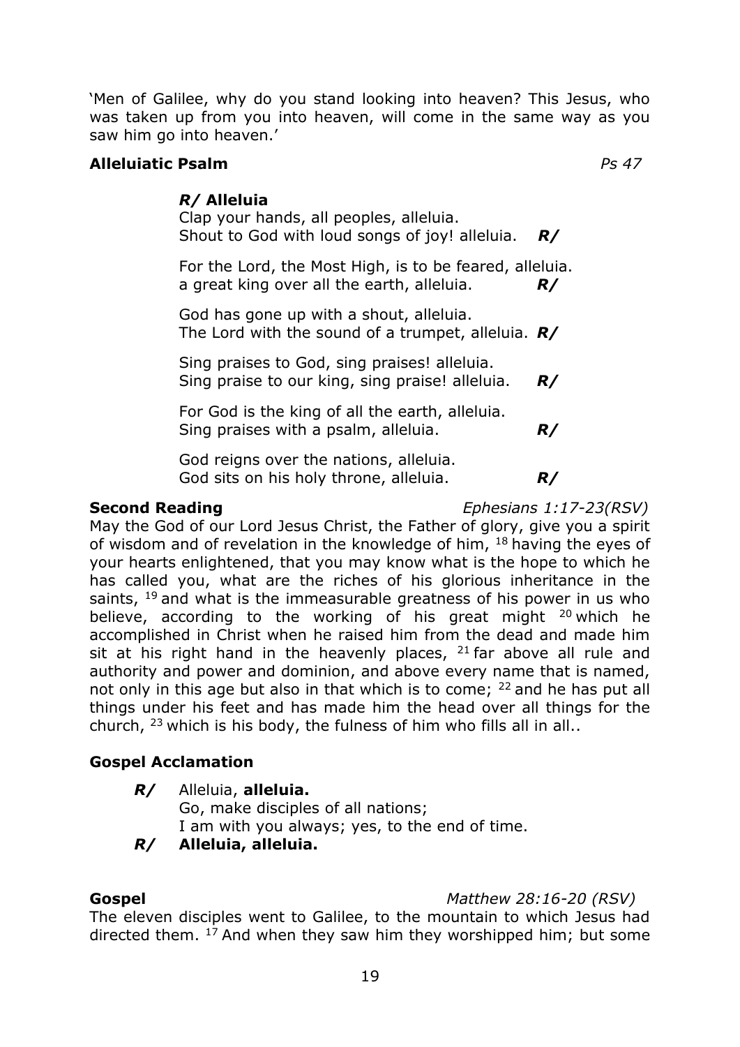'Men of Galilee, why do you stand looking into heaven? This Jesus, who was taken up from you into heaven, will come in the same way as you saw him go into heaven.'

### **Alleluiatic Psalm** *Ps 47*

### *R/* **Alleluia**

Clap your hands, all peoples, alleluia. Shout to God with loud songs of joy! alleluia.*R/*

For the Lord, the Most High, is to be feared, alleluia. a great king over all the earth, alleluia. *R/*

God has gone up with a shout, alleluia. The Lord with the sound of a trumpet, alleluia. *R/*

Sing praises to God, sing praises! alleluia. Sing praise to our king, sing praise! alleluia. *R/*

For God is the king of all the earth, alleluia. Sing praises with a psalm, alleluia.*R/*

God reigns over the nations, alleluia. God sits on his holy throne, alleluia.*R/*

**Second Reading** *Ephesians 1:17-23(RSV)*

May the God of our Lord Jesus Christ, the Father of glory, give you a spirit of wisdom and of revelation in the knowledge of him, <sup>18</sup> having the eyes of your hearts enlightened, that you may know what is the hope to which he has called you, what are the riches of his glorious inheritance in the saints,  $19$  and what is the immeasurable greatness of his power in us who believe, according to the working of his great might <sup>20</sup> which he accomplished in Christ when he raised him from the dead and made him sit at his right hand in the heavenly places,  $21$  far above all rule and authority and power and dominion, and above every name that is named, not only in this age but also in that which is to come; <sup>22</sup> and he has put all things under his feet and has made him the head over all things for the church, <sup>23</sup> which is his body, the fulness of him who fills all in all..

### **Gospel Acclamation**

*R/* Alleluia, **alleluia.**

Go, make disciples of all nations; I am with you always; yes, to the end of time.

### *R/* **Alleluia, alleluia.**

### **Gospel** *Matthew 28:16-20 (RSV)*

The eleven disciples went to Galilee, to the mountain to which Jesus had directed them. <sup>17</sup> And when they saw him they worshipped him; but some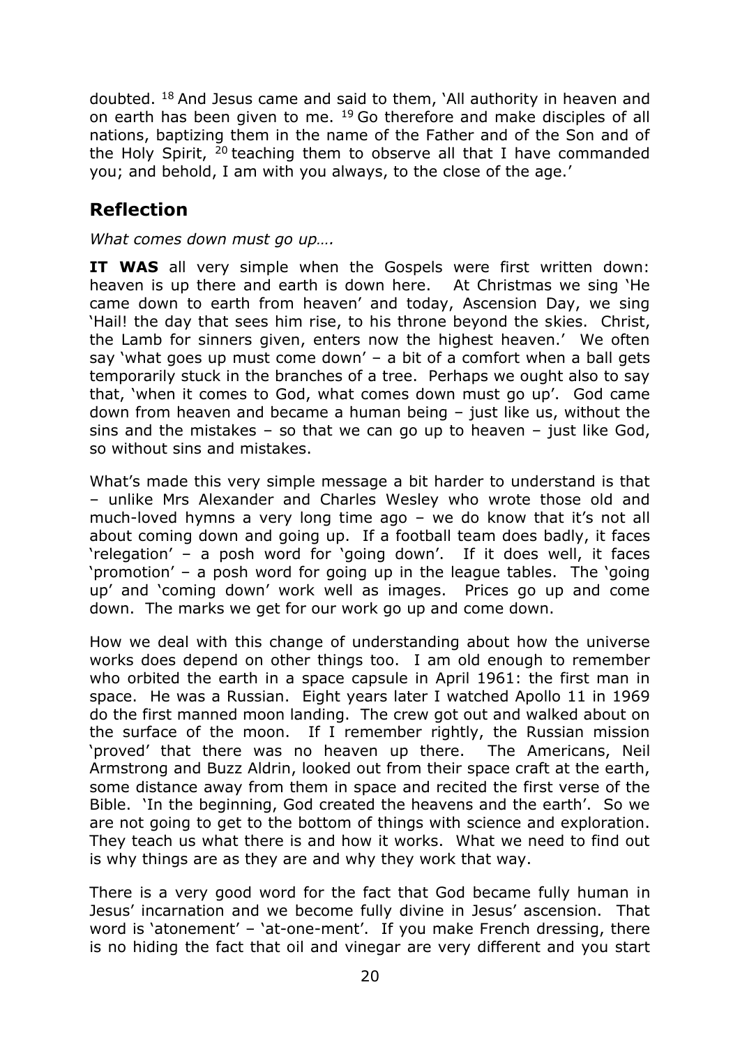doubted. <sup>18</sup> And Jesus came and said to them, 'All authority in heaven and on earth has been given to me. <sup>19</sup> Go therefore and make disciples of all nations, baptizing them in the name of the Father and of the Son and of the Holy Spirit,  $20$  teaching them to observe all that I have commanded you; and behold, I am with you always, to the close of the age.'

### **Reflection**

*What comes down must go up….*

**IT WAS** all very simple when the Gospels were first written down: heaven is up there and earth is down here. At Christmas we sing 'He came down to earth from heaven' and today, Ascension Day, we sing 'Hail! the day that sees him rise, to his throne beyond the skies. Christ, the Lamb for sinners given, enters now the highest heaven.' We often say 'what goes up must come down' – a bit of a comfort when a ball gets temporarily stuck in the branches of a tree. Perhaps we ought also to say that, 'when it comes to God, what comes down must go up'. God came down from heaven and became a human being – just like us, without the sins and the mistakes  $-$  so that we can go up to heaven  $-$  just like God, so without sins and mistakes.

What's made this very simple message a bit harder to understand is that – unlike Mrs Alexander and Charles Wesley who wrote those old and much-loved hymns a very long time ago – we do know that it's not all about coming down and going up. If a football team does badly, it faces 'relegation' – a posh word for 'going down'. If it does well, it faces 'promotion' – a posh word for going up in the league tables. The 'going up' and 'coming down' work well as images. Prices go up and come down. The marks we get for our work go up and come down.

How we deal with this change of understanding about how the universe works does depend on other things too. I am old enough to remember who orbited the earth in a space capsule in April 1961: the first man in space. He was a Russian. Eight years later I watched Apollo 11 in 1969 do the first manned moon landing. The crew got out and walked about on the surface of the moon. If I remember rightly, the Russian mission 'proved' that there was no heaven up there. The Americans, Neil Armstrong and Buzz Aldrin, looked out from their space craft at the earth, some distance away from them in space and recited the first verse of the Bible. 'In the beginning, God created the heavens and the earth'. So we are not going to get to the bottom of things with science and exploration. They teach us what there is and how it works. What we need to find out is why things are as they are and why they work that way.

There is a very good word for the fact that God became fully human in Jesus' incarnation and we become fully divine in Jesus' ascension. That word is 'atonement' – 'at-one-ment'. If you make French dressing, there is no hiding the fact that oil and vinegar are very different and you start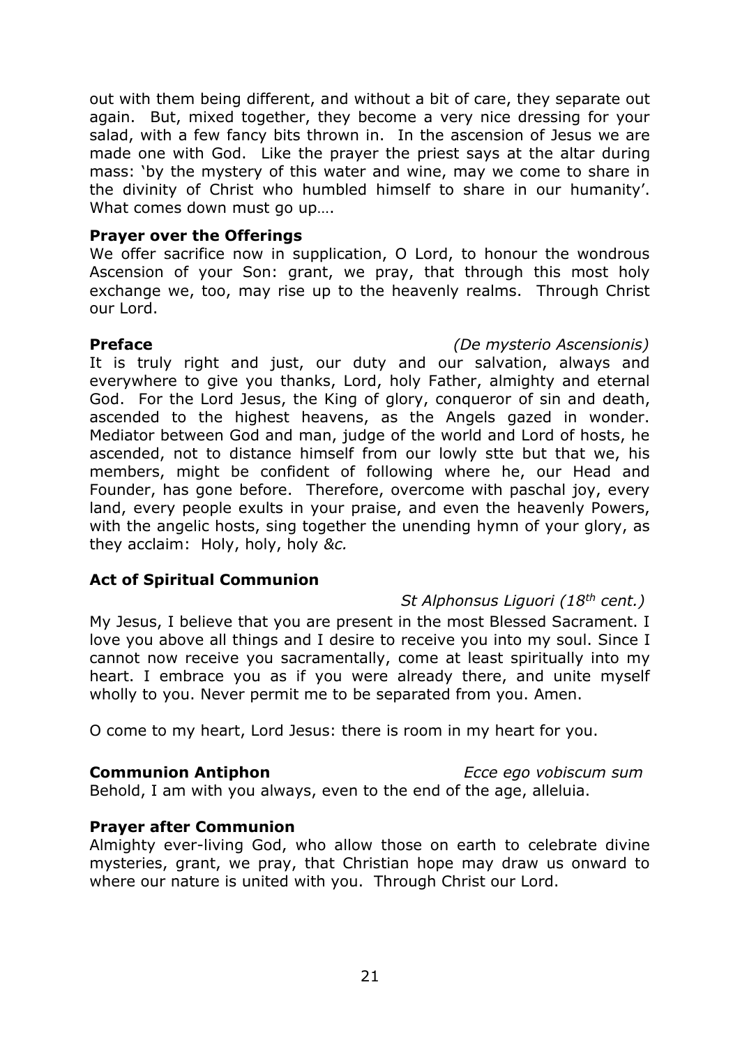out with them being different, and without a bit of care, they separate out again. But, mixed together, they become a very nice dressing for your salad, with a few fancy bits thrown in. In the ascension of Jesus we are made one with God. Like the prayer the priest says at the altar during mass: 'by the mystery of this water and wine, may we come to share in the divinity of Christ who humbled himself to share in our humanity'. What comes down must go up….

### **Prayer over the Offerings**

We offer sacrifice now in supplication, O Lord, to honour the wondrous Ascension of your Son: grant, we pray, that through this most holy exchange we, too, may rise up to the heavenly realms. Through Christ our Lord.

**Preface** *(De mysterio Ascensionis)*

It is truly right and just, our duty and our salvation, always and everywhere to give you thanks, Lord, holy Father, almighty and eternal God. For the Lord Jesus, the King of glory, conqueror of sin and death, ascended to the highest heavens, as the Angels gazed in wonder. Mediator between God and man, judge of the world and Lord of hosts, he ascended, not to distance himself from our lowly stte but that we, his members, might be confident of following where he, our Head and Founder, has gone before. Therefore, overcome with paschal joy, every land, every people exults in your praise, and even the heavenly Powers, with the angelic hosts, sing together the unending hymn of your glory, as they acclaim: Holy, holy, holy *&c.*

### **Act of Spiritual Communion**

### *St Alphonsus Liguori (18th cent.)*

My Jesus, I believe that you are present in the most Blessed Sacrament. I love you above all things and I desire to receive you into my soul. Since I cannot now receive you sacramentally, come at least spiritually into my heart. I embrace you as if you were already there, and unite myself wholly to you. Never permit me to be separated from you. Amen.

O come to my heart, Lord Jesus: there is room in my heart for you.

### **Communion Antiphon** *Ecce ego vobiscum sum*

Behold, I am with you always, even to the end of the age, alleluia.

### **Prayer after Communion**

Almighty ever-living God, who allow those on earth to celebrate divine mysteries, grant, we pray, that Christian hope may draw us onward to where our nature is united with you. Through Christ our Lord.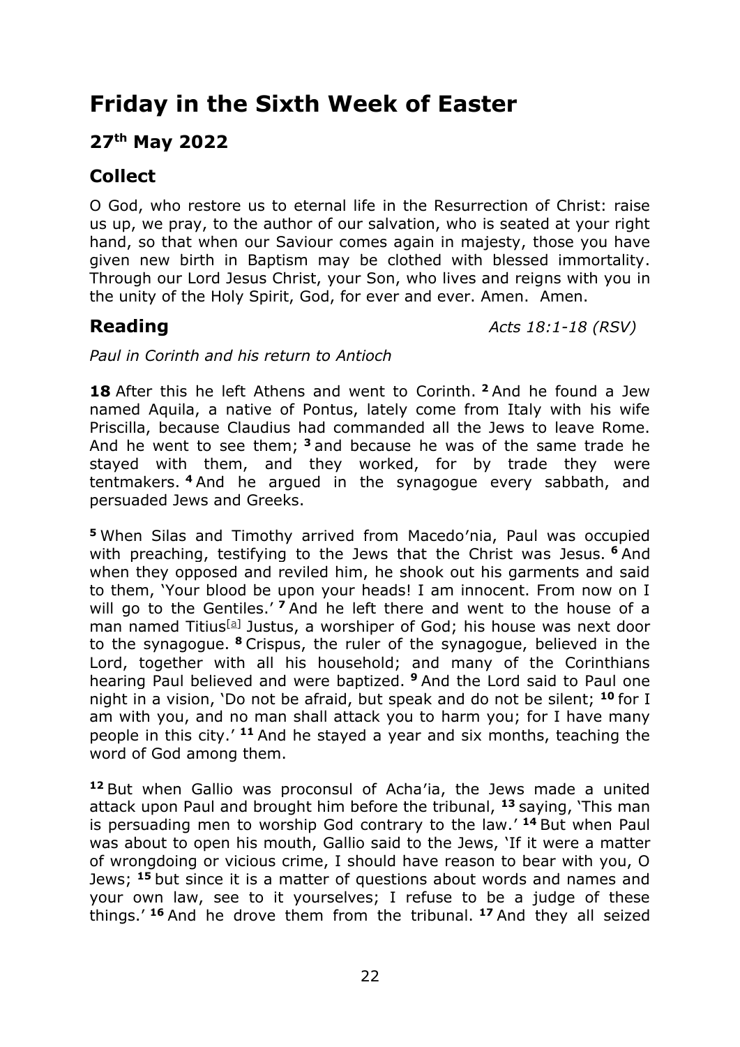## **Friday in the Sixth Week of Easter**

### **27 th May 2022**

### **Collect**

O God, who restore us to eternal life in the Resurrection of Christ: raise us up, we pray, to the author of our salvation, who is seated at your right hand, so that when our Saviour comes again in majesty, those you have given new birth in Baptism may be clothed with blessed immortality. Through our Lord Jesus Christ, your Son, who lives and reigns with you in the unity of the Holy Spirit, God, for ever and ever. Amen. Amen.

**Reading** *Acts 18:1-18 (RSV)*

*Paul in Corinth and his return to Antioch*

**18** After this he left Athens and went to Corinth. **<sup>2</sup>** And he found a Jew named Aquila, a native of Pontus, lately come from Italy with his wife Priscilla, because Claudius had commanded all the Jews to leave Rome. And he went to see them; **<sup>3</sup>** and because he was of the same trade he stayed with them, and they worked, for by trade they were tentmakers. **<sup>4</sup>** And he argued in the synagogue every sabbath, and persuaded Jews and Greeks.

**<sup>5</sup>** When Silas and Timothy arrived from Macedo′nia, Paul was occupied with preaching, testifying to the Jews that the Christ was Jesus. **<sup>6</sup>** And when they opposed and reviled him, he shook out his garments and said to them, 'Your blood be upon your heads! I am innocent. From now on I will go to the Gentiles.<sup>'</sup> 7 And he left there and went to the house of a man named Titius<sup>[a]</sup> Justus, a worshiper of God; his house was next door to the synagogue. **<sup>8</sup>** Crispus, the ruler of the synagogue, believed in the Lord, together with all his household; and many of the Corinthians hearing Paul believed and were baptized. **<sup>9</sup>** And the Lord said to Paul one night in a vision, 'Do not be afraid, but speak and do not be silent; **<sup>10</sup>** for I am with you, and no man shall attack you to harm you; for I have many people in this city.' **<sup>11</sup>** And he stayed a year and six months, teaching the word of God among them.

**<sup>12</sup>** But when Gallio was proconsul of Acha′ia, the Jews made a united attack upon Paul and brought him before the tribunal, **<sup>13</sup>** saying, 'This man is persuading men to worship God contrary to the law.' **<sup>14</sup>** But when Paul was about to open his mouth, Gallio said to the Jews, 'If it were a matter of wrongdoing or vicious crime, I should have reason to bear with you, O Jews; **<sup>15</sup>** but since it is a matter of questions about words and names and your own law, see to it yourselves; I refuse to be a judge of these things.' **<sup>16</sup>** And he drove them from the tribunal. **<sup>17</sup>** And they all seized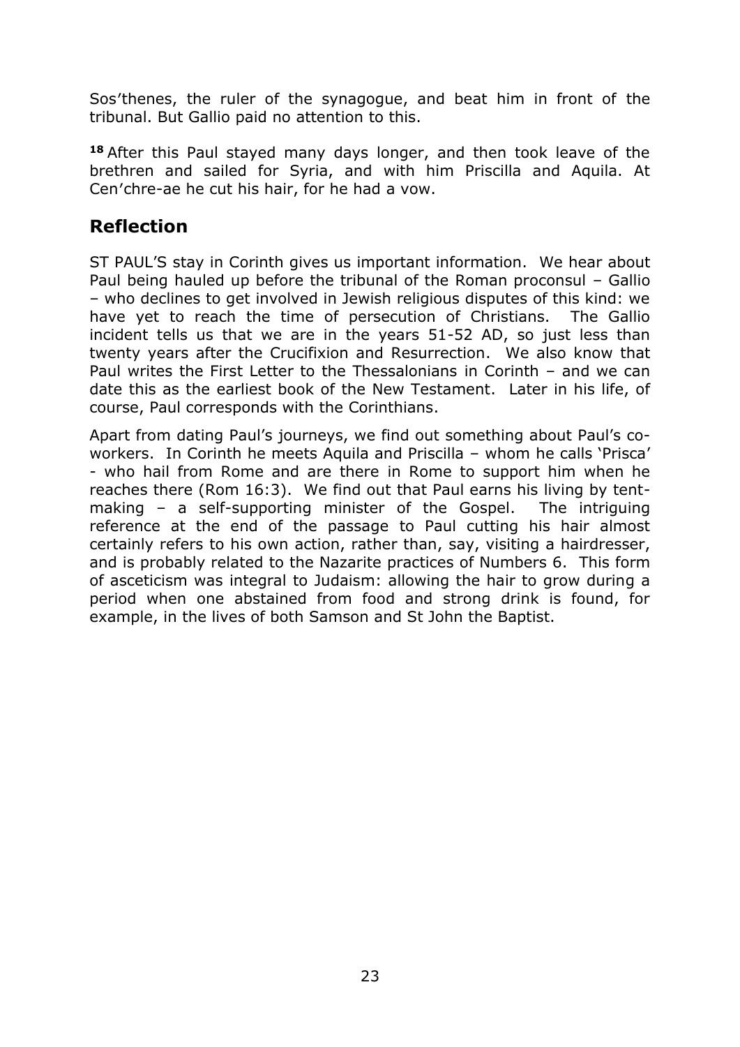Sos′thenes, the ruler of the synagogue, and beat him in front of the tribunal. But Gallio paid no attention to this.

**<sup>18</sup>** After this Paul stayed many days longer, and then took leave of the brethren and sailed for Syria, and with him Priscilla and Aquila. At Cen′chre-ae he cut his hair, for he had a vow.

### **Reflection**

ST PAUL'S stay in Corinth gives us important information. We hear about Paul being hauled up before the tribunal of the Roman proconsul – Gallio – who declines to get involved in Jewish religious disputes of this kind: we have yet to reach the time of persecution of Christians. The Gallio incident tells us that we are in the years 51-52 AD, so just less than twenty years after the Crucifixion and Resurrection. We also know that Paul writes the First Letter to the Thessalonians in Corinth – and we can date this as the earliest book of the New Testament. Later in his life, of course, Paul corresponds with the Corinthians.

Apart from dating Paul's journeys, we find out something about Paul's coworkers. In Corinth he meets Aquila and Priscilla – whom he calls 'Prisca' - who hail from Rome and are there in Rome to support him when he reaches there (Rom 16:3). We find out that Paul earns his living by tentmaking – a self-supporting minister of the Gospel. The intriguing reference at the end of the passage to Paul cutting his hair almost certainly refers to his own action, rather than, say, visiting a hairdresser, and is probably related to the Nazarite practices of Numbers 6. This form of asceticism was integral to Judaism: allowing the hair to grow during a period when one abstained from food and strong drink is found, for example, in the lives of both Samson and St John the Baptist.